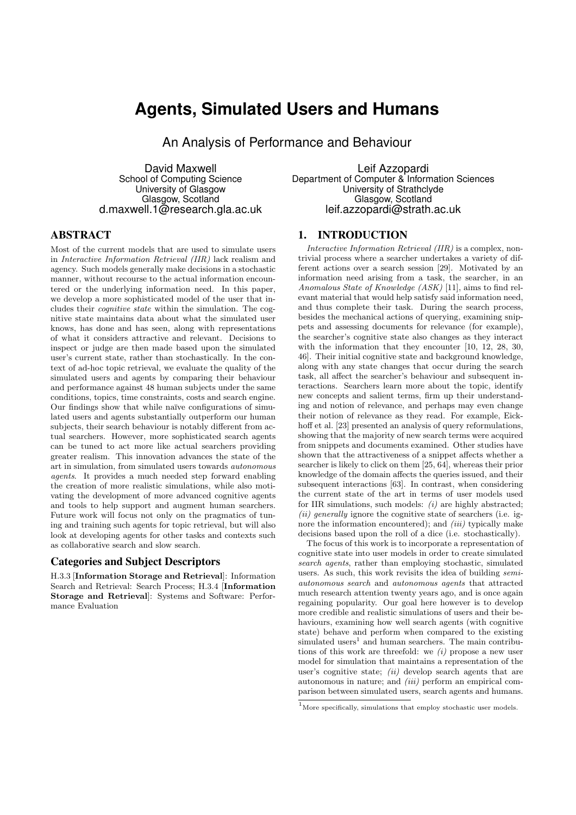# **Agents, Simulated Users and Humans**

An Analysis of Performance and Behaviour

David Maxwell School of Computing Science University of Glasgow Glasgow, Scotland d.maxwell.1@research.gla.ac.uk

Leif Azzopardi Department of Computer & Information Sciences University of Strathclyde Glasgow, Scotland leif.azzopardi@strath.ac.uk

# ABSTRACT

Most of the current models that are used to simulate users in *Interactive Information Retrieval (IIR)* lack realism and agency. Such models generally make decisions in a stochastic manner, without recourse to the actual information encountered or the underlying information need. In this paper, we develop a more sophisticated model of the user that includes their *cognitive state* within the simulation. The cognitive state maintains data about what the simulated user knows, has done and has seen, along with representations of what it considers attractive and relevant. Decisions to inspect or judge are then made based upon the simulated user's current state, rather than stochastically. In the context of ad-hoc topic retrieval, we evaluate the quality of the simulated users and agents by comparing their behaviour and performance against 48 human subjects under the same conditions, topics, time constraints, costs and search engine. Our findings show that while naïve configurations of simulated users and agents substantially outperform our human subjects, their search behaviour is notably different from actual searchers. However, more sophisticated search agents can be tuned to act more like actual searchers providing greater realism. This innovation advances the state of the art in simulation, from simulated users towards *autonomous agents*. It provides a much needed step forward enabling the creation of more realistic simulations, while also motivating the development of more advanced cognitive agents and tools to help support and augment human searchers. Future work will focus not only on the pragmatics of tuning and training such agents for topic retrieval, but will also look at developing agents for other tasks and contexts such as collaborative search and slow search.

### Categories and Subject Descriptors

H.3.3 [Information Storage and Retrieval]: Information Search and Retrieval: Search Process; H.3.4 [Information Storage and Retrieval]: Systems and Software: Performance Evaluation

### 1. INTRODUCTION

*Interactive Information Retrieval (IIR)* is a complex, nontrivial process where a searcher undertakes a variety of different actions over a search session [29]. Motivated by an information need arising from a task, the searcher, in an *Anomalous State of Knowledge (ASK)* [11], aims to find relevant material that would help satisfy said information need, and thus complete their task. During the search process, besides the mechanical actions of querying, examining snippets and assessing documents for relevance (for example), the searcher's cognitive state also changes as they interact with the information that they encounter [10, 12, 28, 30, 46]. Their initial cognitive state and background knowledge, along with any state changes that occur during the search task, all affect the searcher's behaviour and subsequent interactions. Searchers learn more about the topic, identify new concepts and salient terms, firm up their understanding and notion of relevance, and perhaps may even change their notion of relevance as they read. For example, Eickhoff et al. [23] presented an analysis of query reformulations, showing that the majority of new search terms were acquired from snippets and documents examined. Other studies have shown that the attractiveness of a snippet affects whether a searcher is likely to click on them [25, 64], whereas their prior knowledge of the domain affects the queries issued, and their subsequent interactions [63]. In contrast, when considering the current state of the art in terms of user models used for IIR simulations, such models: *(i)* are highly abstracted; *(ii) generally* ignore the cognitive state of searchers (i.e. ignore the information encountered); and *(iii)* typically make decisions based upon the roll of a dice (i.e. stochastically).

The focus of this work is to incorporate a representation of cognitive state into user models in order to create simulated *search agents*, rather than employing stochastic, simulated users. As such, this work revisits the idea of building *semiautonomous search* and *autonomous agents* that attracted much research attention twenty years ago, and is once again regaining popularity. Our goal here however is to develop more credible and realistic simulations of users and their behaviours, examining how well search agents (with cognitive state) behave and perform when compared to the existing  $simulated$  users<sup>1</sup> and human searchers. The main contributions of this work are threefold: we *(i)* propose a new user model for simulation that maintains a representation of the user's cognitive state; *(ii)* develop search agents that are autonomous in nature; and *(iii)* perform an empirical comparison between simulated users, search agents and humans.

 $^{\rm 1}$  More specifically, simulations that employ stochastic user models.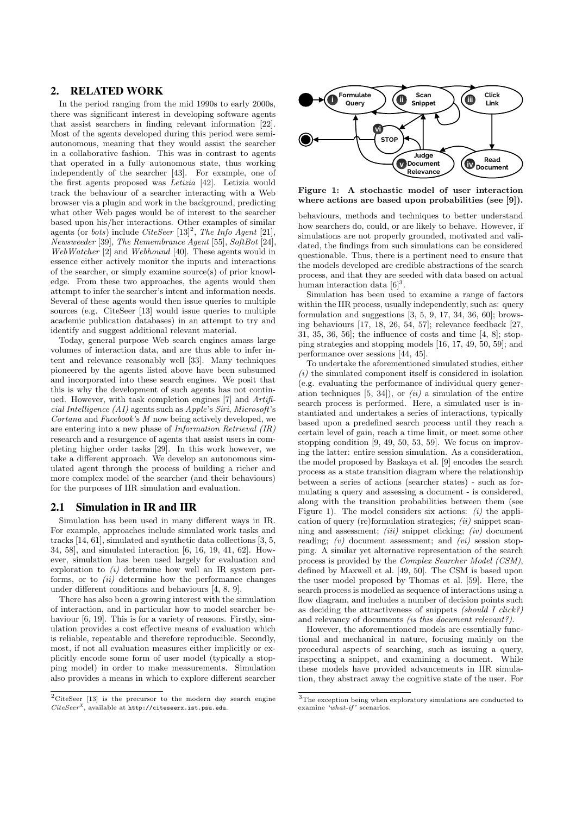# 2. RELATED WORK

In the period ranging from the mid 1990s to early 2000s, there was significant interest in developing software agents that assist searchers in finding relevant information [22]. Most of the agents developed during this period were semiautonomous, meaning that they would assist the searcher in a collaborative fashion. This was in contrast to agents that operated in a fully autonomous state, thus working independently of the searcher [43]. For example, one of the first agents proposed was *Letizia* [42]. Letizia would track the behaviour of a searcher interacting with a Web browser via a plugin and work in the background, predicting what other Web pages would be of interest to the searcher based upon his/her interactions. Other examples of similar agents (or *bots*) include *CiteSeer* [13]<sup>2</sup>, *The Info Agent* [21], *Newsweeder* [39], *The Remembrance Agent* [55], *SoftBot* [24], *WebWatcher* [2] and *Webhound* [40]. These agents would in essence either actively monitor the inputs and interactions of the searcher, or simply examine source(s) of prior knowledge. From these two approaches, the agents would then attempt to infer the searcher's intent and information needs. Several of these agents would then issue queries to multiple sources (e.g. CiteSeer [13] would issue queries to multiple academic publication databases) in an attempt to try and identify and suggest additional relevant material.

Today, general purpose Web search engines amass large volumes of interaction data, and are thus able to infer intent and relevance reasonably well [33]. Many techniques pioneered by the agents listed above have been subsumed and incorporated into these search engines. We posit that this is why the development of such agents has not continued. However, with task completion engines [7] and *Artificial Intelligence (AI)* agents such as *Apple*'s *Siri*, *Microsoft*'s *Cortana* and *Facebook*'s *M* now being actively developed, we are entering into a new phase of *Information Retrieval (IR)* research and a resurgence of agents that assist users in completing higher order tasks [29]. In this work however, we take a different approach. We develop an autonomous simulated agent through the process of building a richer and more complex model of the searcher (and their behaviours) for the purposes of IIR simulation and evaluation.

### 2.1 Simulation in IR and IIR

Simulation has been used in many different ways in IR. For example, approaches include simulated work tasks and tracks [14, 61], simulated and synthetic data collections [3, 5, 34, 58], and simulated interaction [6, 16, 19, 41, 62]. However, simulation has been used largely for evaluation and exploration to *(i)* determine how well an IR system performs, or to *(ii)* determine how the performance changes under different conditions and behaviours  $[4, 8, 9]$ .

There has also been a growing interest with the simulation of interaction, and in particular how to model searcher behaviour  $[6, 19]$ . This is for a variety of reasons. Firstly, simulation provides a cost effective means of evaluation which is reliable, repeatable and therefore reproducible. Secondly, most, if not all evaluation measures either implicitly or explicitly encode some form of user model (typically a stopping model) in order to make measurements. Simulation also provides a means in which to explore different searcher





Figure 1: A stochastic model of user interaction where actions are based upon probabilities (see [9]).

behaviours, methods and techniques to better understand how searchers do, could, or are likely to behave. However, if simulations are not properly grounded, motivated and validated, the findings from such simulations can be considered questionable. Thus, there is a pertinent need to ensure that the models developed are credible abstractions of the search process, and that they are seeded with data based on actual human interaction data  $[6]^3$ .

Simulation has been used to examine a range of factors within the IIR process, usually independently, such as: query formulation and suggestions  $[3, 5, 9, 17, 34, 36, 60]$ ; browsing behaviours [17, 18, 26, 54, 57]; relevance feedback [27, 31, 35, 36, 56]; the influence of costs and time [4, 8]; stopping strategies and stopping models [16, 17, 49, 50, 59]; and performance over sessions [44, 45].

To undertake the aforementioned simulated studies, either *(i)* the simulated component itself is considered in isolation (e.g. evaluating the performance of individual query generation techniques [5, 34]), or *(ii)* a simulation of the entire search process is performed. Here, a simulated user is instantiated and undertakes a series of interactions, typically based upon a predefined search process until they reach a certain level of gain, reach a time limit, or meet some other stopping condition [9, 49, 50, 53, 59]. We focus on improving the latter: entire session simulation. As a consideration, the model proposed by Baskaya et al. [9] encodes the search process as a state transition diagram where the relationship between a series of actions (searcher states) - such as formulating a query and assessing a document - is considered, along with the transition probabilities between them (see Figure 1). The model considers six actions: *(i)* the application of query (re)formulation strategies; *(ii)* snippet scanning and assessment; *(iii)* snippet clicking; *(iv)* document reading; *(v)* document assessment; and *(vi)* session stopping. A similar yet alternative representation of the search process is provided by the *Complex Searcher Model (CSM)*, defined by Maxwell et al. [49, 50]. The CSM is based upon the user model proposed by Thomas et al. [59]. Here, the search process is modelled as sequence of interactions using a flow diagram, and includes a number of decision points such as deciding the attractiveness of snippets *(should I click?)* and relevancy of documents *(is this document relevant?)*.

However, the aforementioned models are essentially functional and mechanical in nature, focusing mainly on the procedural aspects of searching, such as issuing a query, inspecting a snippet, and examining a document. While these models have provided advancements in IIR simulation, they abstract away the cognitive state of the user. For

 ${\rm ^3}$  The exception being when exploratory simulations are conducted to examine *'what-if '* scenarios.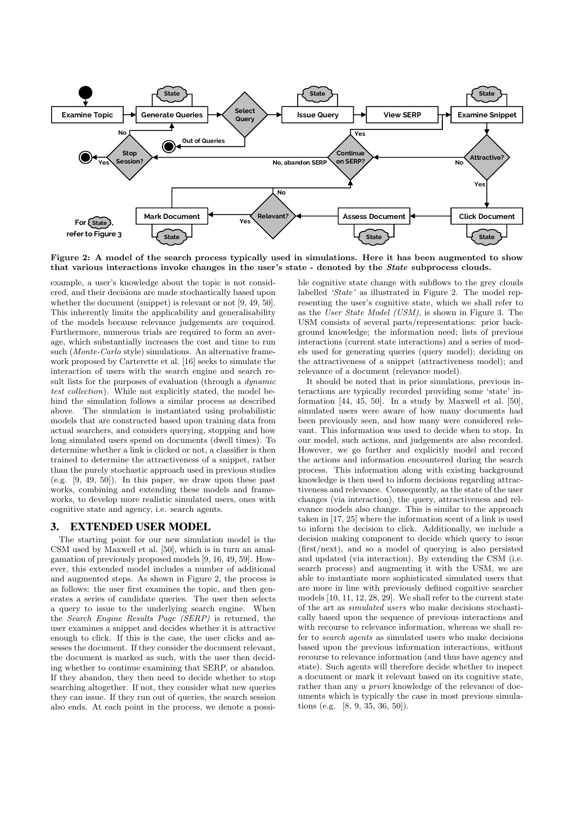

Figure 2: A model of the search process typically used in simulations. Here it has been augmented to show that various interactions invoke changes in the user's state - denoted by the *State* subprocess clouds.

example, a user's knowledge about the topic is not considered, and their decisions are made stochastically based upon whether the document (snippet) is relevant or not [9, 49, 50]. This inherently limits the applicability and generalisability of the models because relevance judgements are required. Furthermore, numerous trials are required to form an average, which substantially increases the cost and time to run such (*Monte-Carlo* style) simulations. An alternative framework proposed by Carterette et al. [16] seeks to simulate the interaction of users with the search engine and search result lists for the purposes of evaluation (through a *dynamic test collection*). While not explicitly stated, the model behind the simulation follows a similar process as described above. The simulation is instantiated using probabilistic models that are constructed based upon training data from actual searchers, and considers querying, stopping and how long simulated users spend on documents (dwell times). To determine whether a link is clicked or not, a classifier is then trained to determine the attractiveness of a snippet, rather than the purely stochastic approach used in previous studies (e.g. [9, 49, 50]). In this paper, we draw upon these past works, combining and extending these models and frameworks, to develop more realistic simulated users, ones with cognitive state and agency, i.e. search agents.

# 3. EXTENDED USER MODEL

The starting point for our new simulation model is the CSM used by Maxwell et al. [50], which is in turn an amalgamation of previously proposed models [9, 16, 49, 59]. However, this extended model includes a number of additional and augmented steps. As shown in Figure 2, the process is as follows: the user first examines the topic, and then generates a series of candidate queries. The user then selects a query to issue to the underlying search engine. When the *Search Engine Results Page (SERP)* is returned, the user examines a snippet and decides whether it is attractive enough to click. If this is the case, the user clicks and assesses the document. If they consider the document relevant, the document is marked as such, with the user then deciding whether to continue examining that SERP, or abandon. If they abandon, they then need to decide whether to stop searching altogether. If not, they consider what new queries they can issue. If they run out of queries, the search session also ends. At each point in the process, we denote a possible cognitive state change with subflows to the grey clouds labelled *'State'* as illustrated in Figure 2. The model representing the user's cognitive state, which we shall refer to as the *User State Model (USM)*, is shown in Figure 3. The USM consists of several parts/representations: prior background knowledge; the information need; lists of previous interactions (current state interactions) and a series of models used for generating queries (query model); deciding on the attractiveness of a snippet (attractiveness model); and relevance of a document (relevance model).

It should be noted that in prior simulations, previous interactions are typically recorded providing some 'state' information [44, 45, 50]. In a study by Maxwell et al. [50], simulated users were aware of how many documents had been previously seen, and how many were considered relevant. This information was used to decide when to stop. In our model, such actions, and judgements are also recorded. However, we go further and explicitly model and record the actions and information encountered during the search process. This information along with existing background knowledge is then used to inform decisions regarding attractiveness and relevance. Consequently, as the state of the user changes (via interaction), the query, attractiveness and relevance models also change. This is similar to the approach taken in [17, 25] where the information scent of a link is used to inform the decision to click. Additionally, we include a decision making component to decide which query to issue (first/next), and so a model of querying is also persisted and updated (via interaction). By extending the CSM (i.e. search process) and augmenting it with the USM, we are able to instantiate more sophisticated simulated users that are more in line with previously defined cognitive searcher models [10, 11, 12, 28, 29]. We shall refer to the current state of the art as *simulated users* who make decisions stochastically based upon the sequence of previous interactions and with recourse to relevance information, whereas we shall refer to *search agents* as simulated users who make decisions based upon the previous information interactions, without recourse to relevance information (and thus have agency and state). Such agents will therefore decide whether to inspect a document or mark it relevant based on its cognitive state, rather than any *a priori* knowledge of the relevance of documents which is typically the case in most previous simulations (e.g. [8, 9, 35, 36, 50]).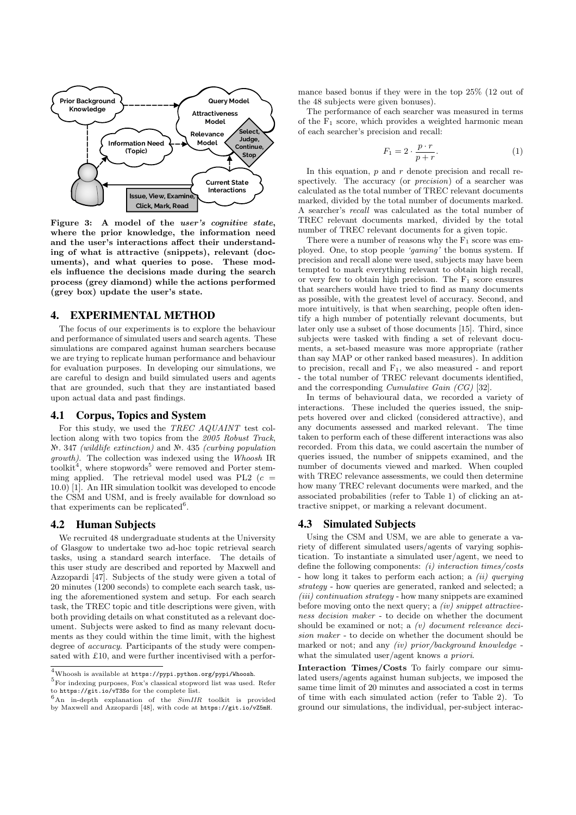

Figure 3: A model of the *user's cognitive state*, where the prior knowledge, the information need and the user's interactions affect their understanding of what is attractive (snippets), relevant (documents), and what queries to pose. These models influence the decisions made during the search process (grey diamond) while the actions performed (grey box) update the user's state.

# 4. EXPERIMENTAL METHOD

The focus of our experiments is to explore the behaviour and performance of simulated users and search agents. These simulations are compared against human searchers because we are trying to replicate human performance and behaviour for evaluation purposes. In developing our simulations, we are careful to design and build simulated users and agents that are grounded, such that they are instantiated based upon actual data and past findings.

#### 4.1 Corpus, Topics and System

For this study, we used the *TREC AQUAINT* test collection along with two topics from the *2005 Robust Track*, №. 347 *(wildlife extinction)* and №. 435 *(curbing population growth)*. The collection was indexed using the *Whoosh* IR toolkit<sup>4</sup>, where stopwords<sup>5</sup> were removed and Porter stemming applied. The retrieval model used was PL2  $(c =$ 10*.*0) [1]. An IIR simulation toolkit was developed to encode the CSM and USM, and is freely available for download so that experiments can be replicated<sup>6</sup>.

# 4.2 Human Subjects

We recruited 48 undergraduate students at the University of Glasgow to undertake two ad-hoc topic retrieval search tasks, using a standard search interface. The details of this user study are described and reported by Maxwell and Azzopardi [47]. Subjects of the study were given a total of 20 minutes (1200 seconds) to complete each search task, using the aforementioned system and setup. For each search task, the TREC topic and title descriptions were given, with both providing details on what constituted as a relevant document. Subjects were asked to find as many relevant documents as they could within the time limit, with the highest degree of *accuracy*. Participants of the study were compensated with £10, and were further incentivised with a performance based bonus if they were in the top 25% (12 out of the 48 subjects were given bonuses).

The performance of each searcher was measured in terms of the  $F_1$  score, which provides a weighted harmonic mean of each searcher's precision and recall:

$$
F_1 = 2 \cdot \frac{p \cdot r}{p+r}.\tag{1}
$$

In this equation, *p* and *r* denote precision and recall respectively. The accuracy (or *precision*) of a searcher was calculated as the total number of TREC relevant documents marked, divided by the total number of documents marked. A searcher's *recall* was calculated as the total number of TREC relevant documents marked, divided by the total number of TREC relevant documents for a given topic.

There were a number of reasons why the  $F_1$  score was employed. One, to stop people *'gaming'* the bonus system. If precision and recall alone were used, subjects may have been tempted to mark everything relevant to obtain high recall, or very few to obtain high precision. The  $F_1$  score ensures that searchers would have tried to find as many documents as possible, with the greatest level of accuracy. Second, and more intuitively, is that when searching, people often identify a high number of potentially relevant documents, but later only use a subset of those documents [15]. Third, since subjects were tasked with finding a set of relevant documents, a set-based measure was more appropriate (rather than say MAP or other ranked based measures). In addition to precision, recall and  $F_1$ , we also measured - and report - the total number of TREC relevant documents identified, and the corresponding *Cumulative Gain (CG)* [32].

In terms of behavioural data, we recorded a variety of interactions. These included the queries issued, the snippets hovered over and clicked (considered attractive), and any documents assessed and marked relevant. The time taken to perform each of these different interactions was also recorded. From this data, we could ascertain the number of queries issued, the number of snippets examined, and the number of documents viewed and marked. When coupled with TREC relevance assessments, we could then determine how many TREC relevant documents were marked, and the associated probabilities (refer to Table 1) of clicking an attractive snippet, or marking a relevant document.

## 4.3 Simulated Subjects

Using the CSM and USM, we are able to generate a variety of different simulated users/agents of varying sophistication. To instantiate a simulated user/agent, we need to define the following components: *(i) interaction times/costs* - how long it takes to perform each action; a *(ii) querying strategy* - how queries are generated, ranked and selected; a *(iii) continuation strategy* - how many snippets are examined before moving onto the next query; a *(iv) snippet attractiveness decision maker* - to decide on whether the document should be examined or not; a *(v) document relevance decision maker* - to decide on whether the document should be marked or not; and any *(iv) prior/background knowledge* what the simulated user/agent knows *a priori*.

Interaction Times/Costs To fairly compare our simulated users/agents against human subjects, we imposed the same time limit of 20 minutes and associated a cost in terms of time with each simulated action (refer to Table 2). To ground our simulations, the individual, per-subject interac-

<sup>&</sup>lt;sup>4</sup>Whoosh is available at https://pypi.python.org/pypi/Whoosh.<br><sup>5</sup>For indexing purposes, Fox's classical stopword list was used. Refer<br>to https://git.io/vT3So for the complete list.

to https://git.io/vT3So for the complete list.<br><sup>6</sup>An in-depth explanation of the *SimIIR* toolkit is provided<br>by Maxwell and Azzopardi [48], with code at https://git.io/vZ5mH.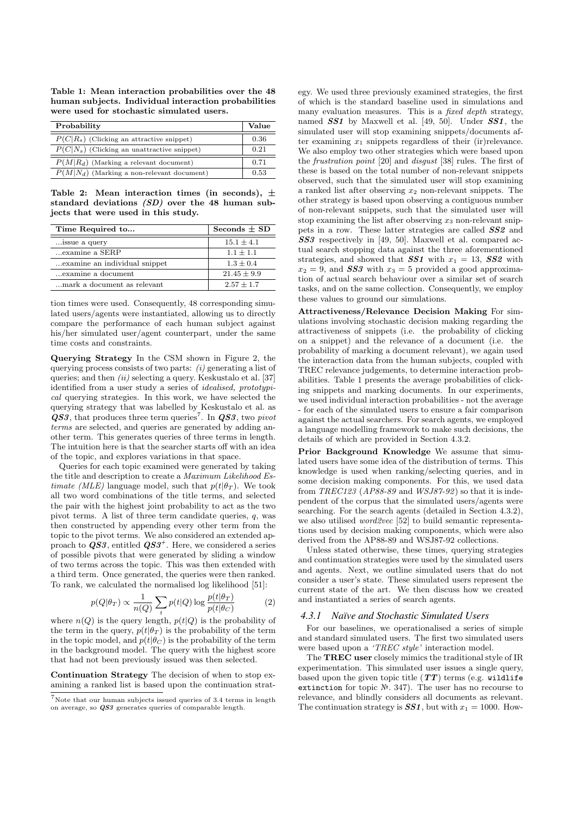Table 1: Mean interaction probabilities over the 48 human subjects. Individual interaction probabilities were used for stochastic simulated users.

| Probability                                   |      |  |  |  |  |
|-----------------------------------------------|------|--|--|--|--|
| $P(C R_s)$ (Clicking an attractive snippet)   | 0.36 |  |  |  |  |
| $P(C N_s)$ (Clicking an unattractive snippet) | 0.21 |  |  |  |  |
| $P(M R_d)$ (Marking a relevant document)      | 0.71 |  |  |  |  |
| $P(M N_d)$ (Marking a non-relevant document)  | 0.53 |  |  |  |  |

Table 2: Mean interaction times (in seconds), *±* standard deviations *(SD)* over the 48 human subjects that were used in this study.

| Time Required to               | Seconds $\pm$ SD |
|--------------------------------|------------------|
| issue a query                  | $15.1 \pm 4.1$   |
| examine a SERP                 | $1.1 + 1.1$      |
| examine an individual snippet. | $1.3 + 0.4$      |
| examine a document             | $21.45 \pm 9.9$  |
| mark a document as relevant    | $2.57 + 1.7$     |

tion times were used. Consequently, 48 corresponding simulated users/agents were instantiated, allowing us to directly compare the performance of each human subject against his/her simulated user/agent counterpart, under the same time costs and constraints.

Querying Strategy In the CSM shown in Figure 2, the querying process consists of two parts: *(i)* generating a list of queries; and then *(ii)* selecting a query. Keskustalo et al. [37] identified from a user study a series of *idealised, prototypical* querying strategies. In this work, we have selected the querying strategy that was labelled by Keskustalo et al. as  $\overline{QSS}$ , that produces three term queries<sup>7</sup>. In  $\overline{QSS}$ , two *pivot terms* are selected, and queries are generated by adding another term. This generates queries of three terms in length. The intuition here is that the searcher starts off with an idea of the topic, and explores variations in that space.

Queries for each topic examined were generated by taking the title and description to create a *Maximum Likelihood Estimate (MLE)* language model, such that  $p(t|\theta_T)$ . We took all two word combinations of the title terms, and selected the pair with the highest joint probability to act as the two pivot terms. A list of three term candidate queries, *q*, was then constructed by appending every other term from the topic to the pivot terms. We also considered an extended approach to *QS3*, entitled *QS3+*. Here, we considered a series of possible pivots that were generated by sliding a window of two terms across the topic. This was then extended with a third term. Once generated, the queries were then ranked. To rank, we calculated the normalised log likelihood [51]:

$$
p(Q|\theta_T) \propto \frac{1}{n(Q)} \sum_t p(t|Q) \log \frac{p(t|\theta_T)}{p(t|\theta_C)}
$$
(2)

where  $n(Q)$  is the query length,  $p(t|Q)$  is the probability of the term in the query,  $p(t|\theta_T)$  is the probability of the term in the topic model, and  $p(t|\theta_C)$  is the probability of the term in the background model. The query with the highest score that had not been previously issued was then selected.

Continuation Strategy The decision of when to stop examining a ranked list is based upon the continuation strategy. We used three previously examined strategies, the first of which is the standard baseline used in simulations and many evaluation measures. This is a *fixed depth* strategy, named *SS1* by Maxwell et al. [49, 50]. Under *SS1*, the simulated user will stop examining snippets/documents after examining  $x_1$  snippets regardless of their (ir)relevance. We also employ two other strategies which were based upon the *frustration point* [20] and *disgust* [38] rules. The first of these is based on the total number of non-relevant snippets observed, such that the simulated user will stop examining a ranked list after observing *x*<sup>2</sup> non-relevant snippets. The other strategy is based upon observing a contiguous number of non-relevant snippets, such that the simulated user will stop examining the list after observing  $x_3$  non-relevant snippets in a row. These latter strategies are called *SS2* and *SS3* respectively in [49, 50]. Maxwell et al. compared actual search stopping data against the three aforementioned strategies, and showed that  $SS1$  with  $x_1 = 13$ ,  $SS2$  with  $x_2 = 9$ , and **SS3** with  $x_3 = 5$  provided a good approximation of actual search behaviour over a similar set of search tasks, and on the same collection. Consequently, we employ these values to ground our simulations.

Attractiveness/Relevance Decision Making For simulations involving stochastic decision making regarding the attractiveness of snippets (i.e. the probability of clicking on a snippet) and the relevance of a document (i.e. the probability of marking a document relevant), we again used the interaction data from the human subjects, coupled with TREC relevance judgements, to determine interaction probabilities. Table 1 presents the average probabilities of clicking snippets and marking documents. In our experiments, we used individual interaction probabilities - not the average - for each of the simulated users to ensure a fair comparison against the actual searchers. For search agents, we employed a language modelling framework to make such decisions, the details of which are provided in Section 4.3.2.

Prior Background Knowledge We assume that simulated users have some idea of the distribution of terms. This knowledge is used when ranking/selecting queries, and in some decision making components. For this, we used data from *TREC123* (*AP88-89* and *WSJ87-92* ) so that it is independent of the corpus that the simulated users/agents were searching. For the search agents (detailed in Section 4.3.2), we also utilised *word2vec* [52] to build semantic representations used by decision making components, which were also derived from the AP88-89 and WSJ87-92 collections.

Unless stated otherwise, these times, querying strategies and continuation strategies were used by the simulated users and agents. Next, we outline simulated users that do not consider a user's state. These simulated users represent the current state of the art. We then discuss how we created and instantiated a series of search agents.

#### *4.3.1 Naïve and Stochastic Simulated Users*

For our baselines, we operationalised a series of simple and standard simulated users. The first two simulated users were based upon a *'TREC style'* interaction model.

The TREC user closely mimics the traditional style of IR experimentation. This simulated user issues a single query, based upon the given topic title  $(TT)$  terms (e.g. wildlife extinction for topic №. 347). The user has no recourse to relevance, and blindly considers all documents as relevant. The continuation strategy is  $SS1$ , but with  $x_1 = 1000$ . How-

 ${\rm ^7}$  Note that our human subjects issued queries of 3.4 terms in length on average, so *QS3* generates queries of comparable length.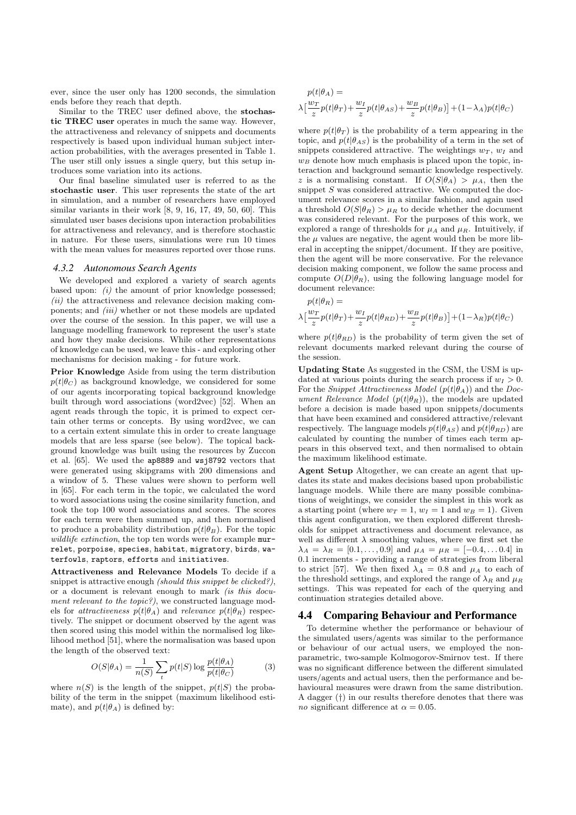ever, since the user only has 1200 seconds, the simulation ends before they reach that depth.

Similar to the TREC user defined above, the stochastic TREC user operates in much the same way. However, the attractiveness and relevancy of snippets and documents respectively is based upon individual human subject interaction probabilities, with the averages presented in Table 1. The user still only issues a single query, but this setup introduces some variation into its actions.

Our final baseline simulated user is referred to as the stochastic user. This user represents the state of the art in simulation, and a number of researchers have employed similar variants in their work [8, 9, 16, 17, 49, 50, 60]. This simulated user bases decisions upon interaction probabilities for attractiveness and relevancy, and is therefore stochastic in nature. For these users, simulations were run 10 times with the mean values for measures reported over those runs.

#### *4.3.2 Autonomous Search Agents*

We developed and explored a variety of search agents based upon: *(i)* the amount of prior knowledge possessed; *(ii)* the attractiveness and relevance decision making components; and *(iii)* whether or not these models are updated over the course of the session. In this paper, we will use a language modelling framework to represent the user's state and how they make decisions. While other representations of knowledge can be used, we leave this - and exploring other mechanisms for decision making - for future work.

Prior Knowledge Aside from using the term distribution  $p(t|\theta_C)$  as background knowledge, we considered for some of our agents incorporating topical background knowledge built through word associations (word2vec) [52]. When an agent reads through the topic, it is primed to expect certain other terms or concepts. By using word2vec, we can to a certain extent simulate this in order to create language models that are less sparse (see below). The topical background knowledge was built using the resources by Zuccon et al. [65]. We used the ap8889 and wsj8792 vectors that were generated using skipgrams with 200 dimensions and a window of 5. These values were shown to perform well in [65]. For each term in the topic, we calculated the word to word associations using the cosine similarity function, and took the top 100 word associations and scores. The scores for each term were then summed up, and then normalised to produce a probability distribution  $p(t|\theta_B)$ . For the topic *wildlife extinction*, the top ten words were for example murrelet, porpoise, species, habitat, migratory, birds, waterfowls, raptors, efforts and initiatives.

Attractiveness and Relevance Models To decide if a snippet is attractive enough *(should this snippet be clicked?)*, or a document is relevant enough to mark *(is this document relevant to the topic?)*, we constructed language models for *attractiveness*  $p(t|\theta_A)$  and *relevance*  $p(t|\theta_R)$  respectively. The snippet or document observed by the agent was then scored using this model within the normalised log likelihood method [51], where the normalisation was based upon the length of the observed text:

$$
O(S|\theta_A) = \frac{1}{n(S)} \sum_{t} p(t|S) \log \frac{p(t|\theta_A)}{p(t|\theta_C)}
$$
(3)

where  $n(S)$  is the length of the snippet,  $p(t|S)$  the probability of the term in the snippet (maximum likelihood estimate), and  $p(t|\theta_A)$  is defined by:

$$
p(t|\theta_A) =
$$
  
 
$$
\lambda \left[ \frac{w_T}{z} p(t|\theta_T) + \frac{w_I}{z} p(t|\theta_A s) + \frac{w_B}{z} p(t|\theta_B) \right] + (1 - \lambda_A) p(t|\theta_C)
$$

where  $p(t|\theta_T)$  is the probability of a term appearing in the topic, and  $p(t|\theta_{AS})$  is the probability of a term in the set of snippets considered attractive. The weightings  $w_T$ ,  $w_I$  and  $w_B$  denote how much emphasis is placed upon the topic, interaction and background semantic knowledge respectively. *z* is a normalising constant. If  $O(S|\theta_A) > \mu_A$ , then the snippet *S* was considered attractive. We computed the document relevance scores in a similar fashion, and again used a threshold  $O(S|\theta_R) > \mu_R$  to decide whether the document was considered relevant. For the purposes of this work, we explored a range of thresholds for  $\mu_A$  and  $\mu_R$ . Intuitively, if the  $\mu$  values are negative, the agent would then be more liberal in accepting the snippet/document. If they are positive, then the agent will be more conservative. For the relevance decision making component, we follow the same process and compute  $O(D|\theta_R)$ , using the following language model for document relevance:

 $p(t|\theta_R) =$  $\lambda \big[\frac{w_T}{z} p(t|\theta_T) + \frac{w_I}{z} p(t|\theta_{RD}) + \frac{w_B}{z} p(t|\theta_B)\big] + (1-\lambda_R) p(t|\theta_C)$ 

where  $p(t|\theta_{RD})$  is the probability of term given the set of relevant documents marked relevant during the course of the session.

Updating State As suggested in the CSM, the USM is updated at various points during the search process if  $w_I > 0$ . For the *Snippet Attractiveness Model*  $(p(t|\theta_A))$  and the *Document Relevance Model*  $(p(t|\theta_R))$ , the models are updated before a decision is made based upon snippets/documents that have been examined and considered attractive/relevant respectively. The language models  $p(t|\theta_{AS})$  and  $p(t|\theta_{RD})$  are calculated by counting the number of times each term appears in this observed text, and then normalised to obtain the maximum likelihood estimate.

Agent Setup Altogether, we can create an agent that updates its state and makes decisions based upon probabilistic language models. While there are many possible combinations of weightings, we consider the simplest in this work as a starting point (where  $w_T = 1$ ,  $w_I = 1$  and  $w_B = 1$ ). Given this agent configuration, we then explored different thresholds for snippet attractiveness and document relevance, as well as different  $\lambda$  smoothing values, where we first set the  $\lambda_A = \lambda_R = [0.1, \ldots, 0.9]$  and  $\mu_A = \mu_R = [-0.4, \ldots, 0.4]$  in 0.1 increments - providing a range of strategies from liberal to strict [57]. We then fixed  $\lambda_A = 0.8$  and  $\mu_A$  to each of the threshold settings, and explored the range of  $\lambda_R$  and  $\mu_R$ settings. This was repeated for each of the querying and continuation strategies detailed above.

## 4.4 Comparing Behaviour and Performance

To determine whether the performance or behaviour of the simulated users/agents was similar to the performance or behaviour of our actual users, we employed the nonparametric, two-sample Kolmogorov-Smirnov test. If there was no significant difference between the different simulated users/agents and actual users, then the performance and behavioural measures were drawn from the same distribution. A dagger (*†*) in our results therefore denotes that there was *no* significant difference at  $\alpha = 0.05$ .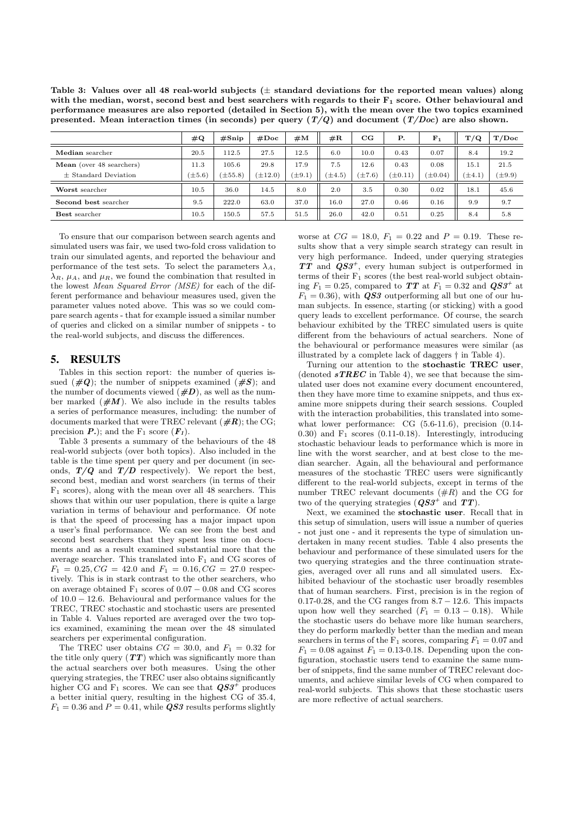Table 3: Values over all 48 real-world subjects (*±* standard deviations for the reported mean values) along with the median, worst, second best and best searchers with regards to their  $F_1$  score. Other behavioural and performance measures are also reported (detailed in Section 5), with the mean over the two topics examined presented. Mean interaction times (in seconds) per query (*T/Q*) and document (*T/Doc*) are also shown.

|                             | $\#\mathbf{Q}$ | #Spinp       | #Doc       | #M               | $\#\mathbf{R}$ | $_{\rm CG}$ | <b>P.</b>    | F <sub>1</sub> | T/Q         | T/Doc       |
|-----------------------------|----------------|--------------|------------|------------------|----------------|-------------|--------------|----------------|-------------|-------------|
| Median searcher             | 20.5           | 112.5        | 27.5       | 12.5             | 6.0            | 10.0        | 0.43         | 0.07           | 8.4         | 19.2        |
| Mean (over 48 searchers)    | 11.3           | 105.6        | 29.8       | 17.9             | 7.5            | 12.6        | 0.43         | 0.08           | 15.1        | 21.5        |
| $\pm$ Standard Deviation    | $(\pm 5.6)$    | $(\pm 55.8)$ | $\pm 12.0$ | $^{\prime}$ ±9.1 | $(\pm 4.5)$    | $(\pm 7.6)$ | $(\pm 0.11)$ | $(\pm 0.04)$   | $(\pm 4.1)$ | $(\pm 9.9)$ |
| Worst searcher              | 10.5           | 36.0         | 14.5       | 8.0              | 2.0            | 3.5         | 0.30         | 0.02           | 18.1        | 45.6        |
| <b>Second best searcher</b> | 9.5            | 222.0        | 63.0       | 37.0             | 16.0           | 27.0        | 0.46         | 0.16           | 9.9         | 9.7         |
| <b>Best</b> searcher        | 10.5           | 150.5        | 57.5       | 51.5             | 26.0           | 42.0        | 0.51         | 0.25           | 8.4         | 5.8         |

To ensure that our comparison between search agents and simulated users was fair, we used two-fold cross validation to train our simulated agents, and reported the behaviour and performance of the test sets. To select the parameters  $\lambda_A$ ,  $\lambda_R$ ,  $\mu_A$ , and  $\mu_R$ , we found the combination that resulted in the lowest *Mean Squared Error (MSE)* for each of the different performance and behaviour measures used, given the parameter values noted above. This was so we could compare search agents - that for example issued a similar number of queries and clicked on a similar number of snippets - to the real-world subjects, and discuss the differences.

# 5. RESULTS

Tables in this section report: the number of queries issued  $(\#Q)$ ; the number of snippets examined  $(\#S)$ ; and the number of documents viewed  $(\#D)$ , as well as the number marked  $(\#M)$ . We also include in the results tables a series of performance measures, including: the number of documents marked that were TREC relevant (*#R*); the CG; precision  $P$ .); and the  $F_1$  score  $(F_1)$ .

Table 3 presents a summary of the behaviours of the 48 real-world subjects (over both topics). Also included in the table is the time spent per query and per document (in seconds,  $T/Q$  and  $T/D$  respectively). We report the best, second best, median and worst searchers (in terms of their  $F_1$  scores), along with the mean over all 48 searchers. This shows that within our user population, there is quite a large variation in terms of behaviour and performance. Of note is that the speed of processing has a major impact upon a user's final performance. We can see from the best and second best searchers that they spent less time on documents and as a result examined substantial more that the average searcher. This translated into  $F_1$  and CG scores of  $F_1 = 0.25, CG = 42.0 \text{ and } F_1 = 0.16, CG = 27.0 \text{ respectively.}$ tively. This is in stark contrast to the other searchers, who on average obtained  $F_1$  scores of  $0.07 - 0.08$  and CG scores of  $10.0 - 12.6$ . Behavioural and performance values for the TREC, TREC stochastic and stochastic users are presented in Table 4. Values reported are averaged over the two topics examined, examining the mean over the 48 simulated searchers per experimental configuration.

The TREC user obtains  $CG = 30.0$ , and  $F_1 = 0.32$  for the title only query  $(TT)$  which was significantly more than the actual searchers over both measures. Using the other querying strategies, the TREC user also obtains significantly higher CG and  $F_1$  scores. We can see that  $\mathbf{Q}S3^+$  produces a better initial query, resulting in the highest CG of 35*.*4,  $F_1 = 0.36$  and  $P = 0.41$ , while *QS3* results performs slightly worse at  $CG = 18.0, F_1 = 0.22$  and  $P = 0.19$ . These results show that a very simple search strategy can result in very high performance. Indeed, under querying strategies *TT* and *QS3<sup>+</sup>*, every human subject is outperformed in terms of their  $F_1$  scores (the best real-world subject obtaining  $F_1 = 0.25$ , compared to **TT** at  $F_1 = 0.32$  and  $\boldsymbol{Q}S3^+$  at  $F_1 = 0.36$ , with *QS3* outperforming all but one of our human subjects. In essence, starting (or sticking) with a good query leads to excellent performance. Of course, the search behaviour exhibited by the TREC simulated users is quite different from the behaviours of actual searchers. None of the behavioural or performance measures were similar (as illustrated by a complete lack of daggers *†* in Table 4).

Turning our attention to the stochastic TREC user, (denoted  $sTREC$  in Table 4), we see that because the simulated user does not examine every document encountered, then they have more time to examine snippets, and thus examine more snippets during their search sessions. Coupled with the interaction probabilities, this translated into somewhat lower performance: CG (5*.*6-11*.*6), precision (0*.*14- 0*.*30) and F<sup>1</sup> scores (0*.*11-0*.*18). Interestingly, introducing stochastic behaviour leads to performance which is more in line with the worst searcher, and at best close to the median searcher. Again, all the behavioural and performance measures of the stochastic TREC users were significantly different to the real-world subjects, except in terms of the number TREC relevant documents (#*R*) and the CG for two of the querying strategies (*QS3+* and *TT*).

Next, we examined the stochastic user. Recall that in this setup of simulation, users will issue a number of queries - not just one - and it represents the type of simulation undertaken in many recent studies. Table 4 also presents the behaviour and performance of these simulated users for the two querying strategies and the three continuation strategies, averaged over all runs and all simulated users. Exhibited behaviour of the stochastic user broadly resembles that of human searchers. First, precision is in the region of 0.17-0.28, and the CG ranges from  $8.7 - 12.6$ . This impacts upon how well they searched  $(F_1 = 0.13 - 0.18)$ . While the stochastic users do behave more like human searchers, they do perform markedly better than the median and mean searchers in terms of the  $F_1$  scores, comparing  $F_1 = 0.07$  and  $F_1 = 0.08$  against  $F_1 = 0.13$ -0.18. Depending upon the configuration, stochastic users tend to examine the same number of snippets, find the same number of TREC relevant documents, and achieve similar levels of CG when compared to real-world subjects. This shows that these stochastic users are more reflective of actual searchers.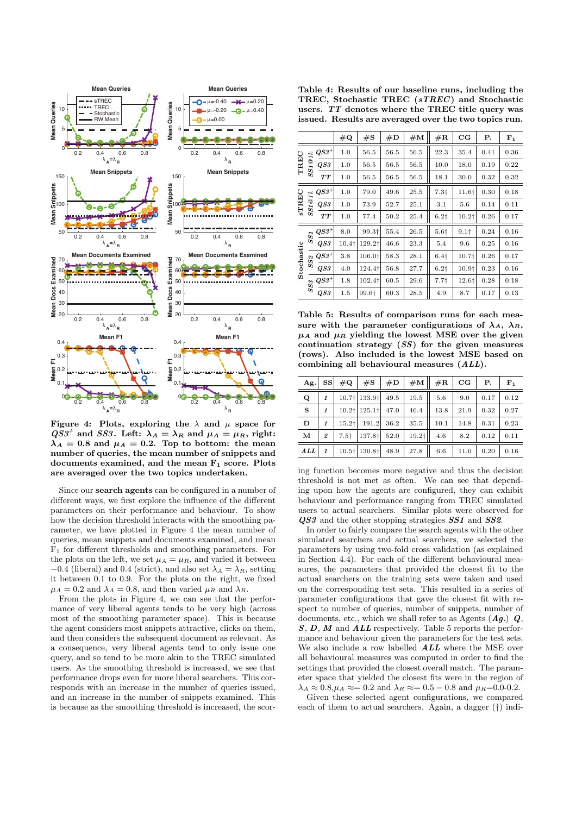

Figure 4: Plots, exploring the  $\lambda$  and  $\mu$  space for  $QS3^+$  and *SS3*. Left:  $\lambda_A = \lambda_R$  and  $\mu_A = \mu_R$ , right:  $\lambda_A = 0.8$  and  $\mu_A = 0.2$ . Top to bottom: the mean number of queries, the mean number of snippets and documents examined, and the mean  $F_1$  score. Plots are averaged over the two topics undertaken.

Since our search agents can be configured in a number of different ways, we first explore the influence of the different parameters on their performance and behaviour. To show how the decision threshold interacts with the smoothing parameter, we have plotted in Figure 4 the mean number of queries, mean snippets and documents examined, and mean  $F_1$  for different thresholds and smoothing parameters. For the plots on the left, we set  $\mu_A = \mu_R$ , and varied it between  $-0.4$  (liberal) and 0.4 (strict), and also set  $\lambda_A = \lambda_R$ , setting it between 0.1 to 0.9. For the plots on the right, we fixed  $\mu_A = 0.2$  and  $\lambda_A = 0.8$ , and then varied  $\mu_R$  and  $\lambda_R$ .

From the plots in Figure 4, we can see that the performance of very liberal agents tends to be very high (across most of the smoothing parameter space). This is because the agent considers most snippets attractive, clicks on them, and then considers the subsequent document as relevant. As a consequence, very liberal agents tend to only issue one query, and so tend to be more akin to the TREC simulated users. As the smoothing threshold is increased, we see that performance drops even for more liberal searchers. This corresponds with an increase in the number of queries issued, and an increase in the number of snippets examined. This is because as the smoothing threshold is increased, the scor-

Table 4: Results of our baseline runs, including the TREC, Stochastic TREC (*sTREC* ) and Stochastic users. *TT* denotes where the TREC title query was issued. Results are averaged over the two topics run.

|                           |                              |                     | $\#\mathbf{Q}$    | #S                | #D   | #M   | #R               | $_{\rm CG}$       | Ρ.   | $F_1$ |
|---------------------------|------------------------------|---------------------|-------------------|-------------------|------|------|------------------|-------------------|------|-------|
| $\mathcal{S}1@1k$<br>TREC |                              | $\mathit{QS3}^+$    | 1.0               | 56.5              | 56.5 | 56.5 | 22.3             | 35.4              | 0.41 | 0.36  |
|                           |                              | $\mathcal{Q} S3$    | 1.0               | 56.5              | 56.5 | 56.5 | 10.0             | 18.0              | 0.19 | 0.22  |
|                           | 5                            | TT                  | 1.0               | 56.5              | 56.5 | 56.5 | 18.1             | 30.0              | 0.32 | 0.32  |
| <b>STREC</b><br>SSI@1k    |                              | $\overline{Q} S3^+$ | 1.0               | 79.0              | 49.6 | 25.5 | 7.3 <sub>†</sub> | 11.6+             | 0.30 | 0.18  |
|                           |                              | $\overline{Q}S3$    | 1.0               | 73.9              | 52.7 | 25.1 | 3.1              | 5.6               | 0.14 | 0.11  |
|                           |                              | <b>TT</b>           | 1.0               | 77.4              | 50.2 | 25.4 | $6.2\dagger$     | 10.2 <sub>†</sub> | 0.26 | 0.17  |
| Stochastic                | $SS1\,$                      | $\mathcal{Q}S3^+$   | 8.0               | 99.3 <sup>+</sup> | 55.4 | 26.5 | 5.6 <sub>†</sub> | 9.1 <sub>†</sub>  | 0.24 | 0.16  |
|                           |                              | $\overline{Q}S3$    | 10.4 <sub>†</sub> | 129.2†            | 46.6 | 23.3 | 5.4              | 9.6               | 0.25 | 0.16  |
|                           | $SS\ensuremath{\mathcal{Z}}$ | $\mathit{QS3}^+$    | 3.8               | 106.0†            | 58.3 | 28.1 | 6.4 <sub>†</sub> | 10.7†             | 0.26 | 0.17  |
|                           |                              | QS3                 | 4.0               | 124.4†            | 56.8 | 27.7 | $6.2+$           | 10.9+             | 0.23 | 0.16  |
|                           | $SS9\,$                      | $\mathbb{Q}S3^+$    | 1.8               | $102.4\dagger$    | 60.5 | 29.6 | 7.7 <sub>†</sub> | 12.6†             | 0.28 | 0.18  |
|                           |                              | $\overline{Q}S3$    | 1.5               | 99.6†             | 60.3 | 28.5 | 4.9              | 8.7               | 0.17 | 0.13  |

Table 5: Results of comparison runs for each measure with the parameter configurations of  $\lambda_A$ ,  $\lambda_R$ ,  $\mu_A$  and  $\mu_R$  yielding the lowest MSE over the given continuation strategy (*SS*) for the given measures (rows). Also included is the lowest MSE based on combining all behavioural measures (*ALL*).

| Ag.          | <b>SS</b>    | $\#\mathbf{Q}$      | #S                                     | #D   | #M                  | #R   | CG   | Р.   | ${\bf F}_{1}$ |
|--------------|--------------|---------------------|----------------------------------------|------|---------------------|------|------|------|---------------|
| $\mathbf Q$  |              |                     | $10.7 \mid 133.9 \mid$                 | 49.5 | 19.5                | 5.6  | 9.0  | 0.17 | 0.12          |
| $\mathbf{s}$ |              |                     | $10.2$ <sup>+</sup> 125.1 <sup>+</sup> | 47.0 | 46.4                | 13.8 | 21.9 | 0.32 | 0.27          |
| D            |              | $15.2$ <sup>+</sup> | 191.2                                  | 36.2 | 35.5                | 10.1 | 14.8 | 0.31 | 0.23          |
| м            | 2            | $7.5+$              | 137.8 <sup>+</sup>                     | 52.0 | $19.2$ <sup>+</sup> | 4.6  | 8.2  | 0.12 | 0.11          |
| ALL          | $\mathbf{1}$ |                     | $10.5 + 130.8 +$                       | 48.9 | 27.8                | 6.6  | 11.0 | 0.20 | 0.16          |

ing function becomes more negative and thus the decision threshold is not met as often. We can see that depending upon how the agents are configured, they can exhibit behaviour and performance ranging from TREC simulated users to actual searchers. Similar plots were observed for *QS3* and the other stopping strategies *SS1* and *SS2*.

In order to fairly compare the search agents with the other simulated searchers and actual searchers, we selected the parameters by using two-fold cross validation (as explained in Section 4.4). For each of the different behavioural measures, the parameters that provided the closest fit to the actual searchers on the training sets were taken and used on the corresponding test sets. This resulted in a series of parameter configurations that gave the closest fit with respect to number of queries, number of snippets, number of documents, etc., which we shall refer to as Agents (*Ag.*) *Q*, *S*, *D*, *M* and *ALL* respectively. Table 5 reports the performance and behaviour given the parameters for the test sets. We also include a row labelled *ALL* where the MSE over all behavioural measures was computed in order to find the settings that provided the closest overall match. The parameter space that yielded the closest fits were in the region of  $\lambda_A \approx 0.8, \mu_A \approx 0.2$  and  $\lambda_B \approx 0.5 - 0.8$  and  $\mu_B = 0.0 - 0.2$ .

Given these selected agent configurations, we compared each of them to actual searchers. Again, a dagger (*†*) indi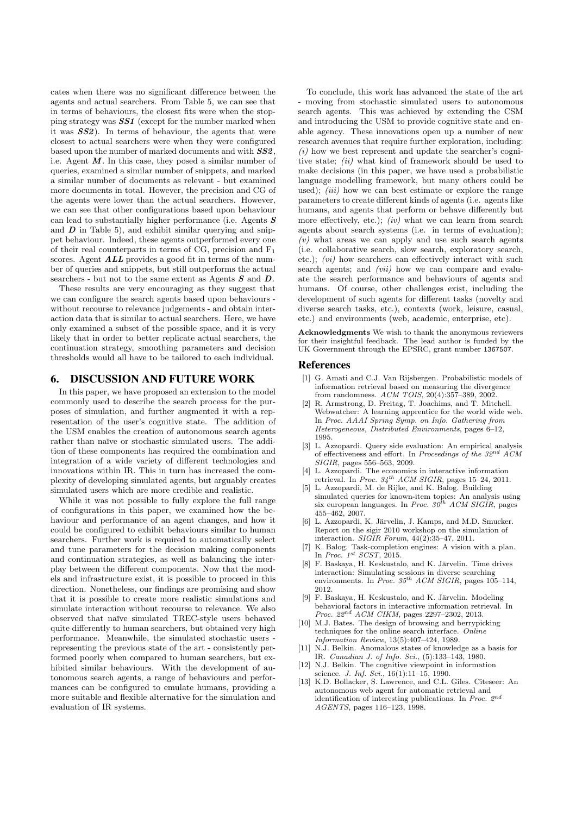cates when there was no significant difference between the agents and actual searchers. From Table 5, we can see that in terms of behaviours, the closest fits were when the stopping strategy was *SS1* (except for the number marked when it was *SS2*). In terms of behaviour, the agents that were closest to actual searchers were when they were configured based upon the number of marked documents and with *SS2*, i.e. Agent *M*. In this case, they posed a similar number of queries, examined a similar number of snippets, and marked a similar number of documents as relevant - but examined more documents in total. However, the precision and CG of the agents were lower than the actual searchers. However, we can see that other configurations based upon behaviour can lead to substantially higher performance (i.e. Agents *S* and  $\bm{D}$  in Table 5), and exhibit similar querying and snippet behaviour. Indeed, these agents outperformed every one of their real counterparts in terms of CG, precision and  $F_1$ scores. Agent *ALL* provides a good fit in terms of the number of queries and snippets, but still outperforms the actual searchers - but not to the same extent as Agents *S* and *D*.

These results are very encouraging as they suggest that we can configure the search agents based upon behaviours without recourse to relevance judgements - and obtain interaction data that is similar to actual searchers. Here, we have only examined a subset of the possible space, and it is very likely that in order to better replicate actual searchers, the continuation strategy, smoothing parameters and decision thresholds would all have to be tailored to each individual.

# 6. DISCUSSION AND FUTURE WORK

In this paper, we have proposed an extension to the model commonly used to describe the search process for the purposes of simulation, and further augmented it with a representation of the user's cognitive state. The addition of the USM enables the creation of autonomous search agents rather than naïve or stochastic simulated users. The addition of these components has required the combination and integration of a wide variety of different technologies and innovations within IR. This in turn has increased the complexity of developing simulated agents, but arguably creates simulated users which are more credible and realistic.

While it was not possible to fully explore the full range of configurations in this paper, we examined how the behaviour and performance of an agent changes, and how it could be configured to exhibit behaviours similar to human searchers. Further work is required to automatically select and tune parameters for the decision making components and continuation strategies, as well as balancing the interplay between the different components. Now that the models and infrastructure exist, it is possible to proceed in this direction. Nonetheless, our findings are promising and show that it is possible to create more realistic simulations and simulate interaction without recourse to relevance. We also observed that na¨ıve simulated TREC-style users behaved quite differently to human searchers, but obtained very high performance. Meanwhile, the simulated stochastic users representing the previous state of the art - consistently performed poorly when compared to human searchers, but exhibited similar behaviours. With the development of autonomous search agents, a range of behaviours and performances can be configured to emulate humans, providing a more suitable and flexible alternative for the simulation and evaluation of IR systems.

To conclude, this work has advanced the state of the art - moving from stochastic simulated users to autonomous search agents. This was achieved by extending the CSM and introducing the USM to provide cognitive state and enable agency. These innovations open up a number of new research avenues that require further exploration, including: *(i)* how we best represent and update the searcher's cognitive state; *(ii)* what kind of framework should be used to make decisions (in this paper, we have used a probabilistic language modelling framework, but many others could be used); *(iii)* how we can best estimate or explore the range parameters to create different kinds of agents (i.e. agents like humans, and agents that perform or behave differently but more effectively, etc.); *(iv)* what we can learn from search agents about search systems (i.e. in terms of evaluation);  $\overline{(v)}$  what areas we can apply and use such search agents (i.e. collaborative search, slow search, exploratory search, etc.):  $(vi)$  how searchers can effectively interact with such search agents; and *(vii)* how we can compare and evaluate the search performance and behaviours of agents and humans. Of course, other challenges exist, including the development of such agents for different tasks (novelty and diverse search tasks, etc.), contexts (work, leisure, casual, etc.) and environments (web, academic, enterprise, etc).

Acknowledgments We wish to thank the anonymous reviewers for their insightful feedback. The lead author is funded by the UK Government through the EPSRC, grant number 1367507.

#### References

- [1] G. Amati and C.J. Van Rijsbergen. Probabilistic models of information retrieval based on measuring the divergence from randomness. *ACM TOIS*, 20(4):357–389, 2002.
- [2] R. Armstrong, D. Freitag, T. Joachims, and T. Mitchell. Webwatcher: A learning apprentice for the world wide web. In *Proc. AAAI Spring Symp. on Info. Gathering from Heterogeneous, Distributed Environments*, pages 6–12, 1995.
- [3] L. Azzopardi. Query side evaluation: An empirical analysis of effectiveness and effort. In *Proceedings of the 32<sup>nd</sup> ACM SIGIR*, pages 556–563, 2009.
- [4] L. Azzopardi. The economics in interactive information retrieval. In *Proc. 34th ACM SIGIR*, pages 15–24, 2011.
- [5] L. Azzopardi, M. de Rijke, and K. Balog. Building simulated queries for known-item topics: An analysis using six european languages. In *Proc. 30th ACM SIGIR*, pages 455–462, 2007.
- L. Azzopardi, K. Järvelin, J. Kamps, and M.D. Smucker. Report on the sigir 2010 workshop on the simulation of interaction. *SIGIR Forum*, 44(2):35–47, 2011.
- [7] K. Balog. Task-completion engines: A vision with a plan. In *Proc. 1st SCST*, 2015.
- [8] F. Baskaya, H. Keskustalo, and K. Järvelin. Time drives interaction: Simulating sessions in diverse searching environments. In *Proc. 35th ACM SIGIR*, pages 105–114, 2012.
- [9] F. Baskaya, H. Keskustalo, and K. Järvelin. Modeling behavioral factors in interactive information retrieval. In *Proc. 22nd ACM CIKM*, pages 2297–2302, 2013.
- [10] M.J. Bates. The design of browsing and berrypicking techniques for the online search interface. *Online Information Review*, 13(5):407–424, 1989.
- [11] N.J. Belkin. Anomalous states of knowledge as a basis for IR. *Canadian J. of Info. Sci.*, (5):133–143, 1980.
- [12] N.J. Belkin. The cognitive viewpoint in information science. *J. Inf. Sci.*, 16(1):11–15, 1990.
- [13] K.D. Bollacker, S. Lawrence, and C.L. Giles. Citeseer: An autonomous web agent for automatic retrieval and identification of interesting publications. In *Proc. 2nd AGENTS*, pages 116–123, 1998.